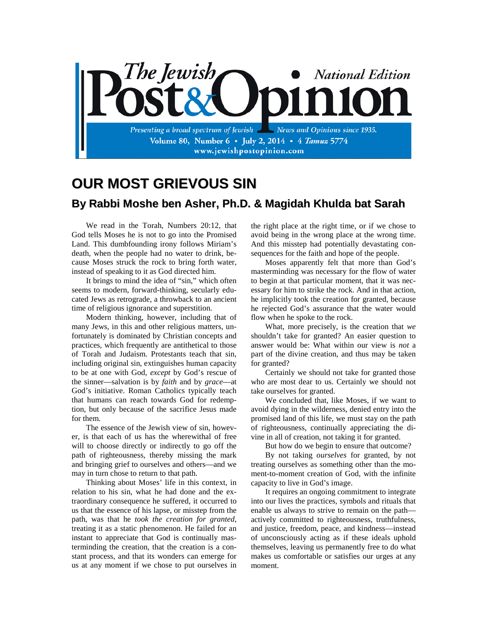

## **OUR MOST GRIEVOUS SIN By Rabbi Moshe ben Asher, Ph.D. & Magidah Khulda bat Sarah**

We read in the Torah, Numbers 20:12, that God tells Moses he is not to go into the Promised Land. This dumbfounding irony follows Miriam's death, when the people had no water to drink, because Moses struck the rock to bring forth water, instead of speaking to it as God directed him.

It brings to mind the idea of "sin," which often seems to modern, forward-thinking, secularly educated Jews as retrograde, a throwback to an ancient time of religious ignorance and superstition.

Modern thinking, however, including that of many Jews, in this and other religious matters, unfortunately is dominated by Christian concepts and practices, which frequently are antithetical to those of Torah and Judaism. Protestants teach that sin, including original sin, extinguishes human capacity to be at one with God, *except* by God's rescue of the sinner—salvation is by *faith* and by *grace*—at God's initiative. Roman Catholics typically teach that humans can reach towards God for redemption, but only because of the sacrifice Jesus made for them.

The essence of the Jewish view of sin, however, is that each of us has the wherewithal of free will to choose directly or indirectly to go off the path of righteousness, thereby missing the mark and bringing grief to ourselves and others—and we may in turn chose to return to that path.

Thinking about Moses' life in this context, in relation to his sin, what he had done and the extraordinary consequence he suffered, it occurred to us that the essence of his lapse, or misstep from the path, was that he *took the creation for granted*, treating it as a static phenomenon. He failed for an instant to appreciate that God is continually masterminding the creation, that the creation is a constant process, and that its wonders can emerge for us at any moment if we chose to put ourselves in

the right place at the right time, or if we chose to avoid being in the wrong place at the wrong time. And this misstep had potentially devastating consequences for the faith and hope of the people.

Moses apparently felt that more than God's masterminding was necessary for the flow of water to begin at that particular moment, that it was necessary for him to strike the rock. And in that action, he implicitly took the creation for granted, because he rejected God's assurance that the water would flow when he spoke to the rock.

What, more precisely, is the creation that *we* shouldn't take for granted? An easier question to answer would be: What within our view is *not* a part of the divine creation, and thus may be taken for granted?

Certainly we should not take for granted those who are most dear to us. Certainly we should not take ourselves for granted.

We concluded that, like Moses, if we want to avoid dying in the wilderness, denied entry into the promised land of this life, we must stay on the path of righteousness, continually appreciating the divine in all of creation, not taking it for granted.

But how do we begin to ensure that outcome?

By not taking *ourselves* for granted, by not treating ourselves as something other than the moment-to-moment creation of God, with the infinite capacity to live in God's image.

It requires an ongoing commitment to integrate into our lives the practices, symbols and rituals that enable us always to strive to remain on the path actively committed to righteousness, truthfulness, and justice, freedom, peace, and kindness—instead of unconsciously acting as if these ideals uphold themselves, leaving us permanently free to do what makes us comfortable or satisfies our urges at any moment.